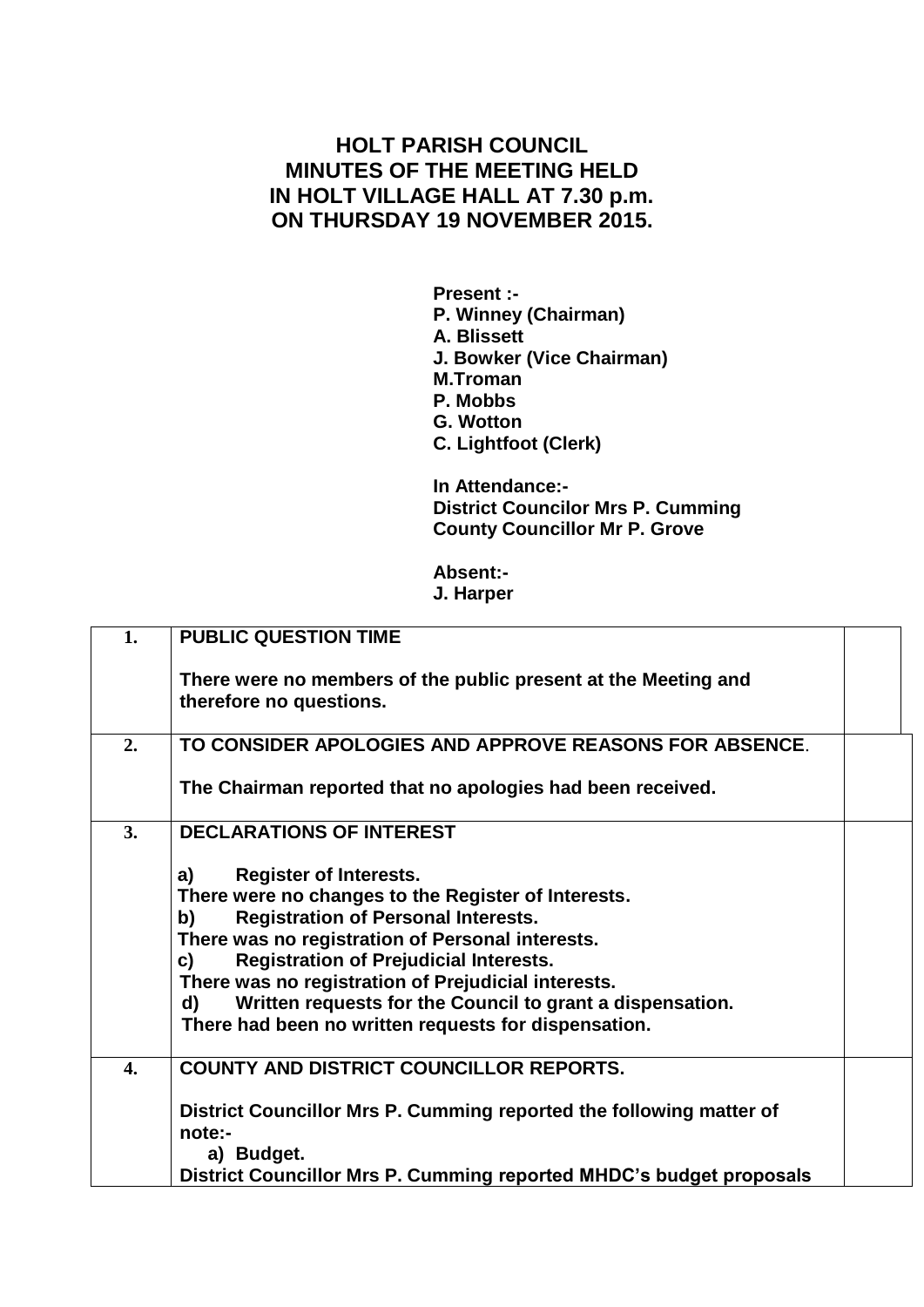## **HOLT PARISH COUNCIL MINUTES OF THE MEETING HELD IN HOLT VILLAGE HALL AT 7.30 p.m. ON THURSDAY 19 NOVEMBER 2015.**

**Present :- P. Winney (Chairman) A. Blissett J. Bowker (Vice Chairman) M.Troman P. Mobbs G. Wotton C. Lightfoot (Clerk)**

**In Attendance:- District Councilor Mrs P. Cumming County Councillor Mr P. Grove**

**Absent:- J. Harper**

| 1. | <b>PUBLIC QUESTION TIME</b>                                                                                                                                                                                                                                                                                                                                                                                                                 |  |
|----|---------------------------------------------------------------------------------------------------------------------------------------------------------------------------------------------------------------------------------------------------------------------------------------------------------------------------------------------------------------------------------------------------------------------------------------------|--|
|    | There were no members of the public present at the Meeting and<br>therefore no questions.                                                                                                                                                                                                                                                                                                                                                   |  |
| 2. | TO CONSIDER APOLOGIES AND APPROVE REASONS FOR ABSENCE.                                                                                                                                                                                                                                                                                                                                                                                      |  |
|    | The Chairman reported that no apologies had been received.                                                                                                                                                                                                                                                                                                                                                                                  |  |
| 3. | <b>DECLARATIONS OF INTEREST</b>                                                                                                                                                                                                                                                                                                                                                                                                             |  |
|    | <b>Register of Interests.</b><br>a)<br>There were no changes to the Register of Interests.<br><b>Registration of Personal Interests.</b><br>b)<br>There was no registration of Personal interests.<br><b>Registration of Prejudicial Interests.</b><br>C)<br>There was no registration of Prejudicial interests.<br>Written requests for the Council to grant a dispensation.<br>d)<br>There had been no written requests for dispensation. |  |
| 4. | <b>COUNTY AND DISTRICT COUNCILLOR REPORTS.</b>                                                                                                                                                                                                                                                                                                                                                                                              |  |
|    | District Councillor Mrs P. Cumming reported the following matter of<br>note:-<br>a) Budget.                                                                                                                                                                                                                                                                                                                                                 |  |
|    | District Councillor Mrs P. Cumming reported MHDC's budget proposals                                                                                                                                                                                                                                                                                                                                                                         |  |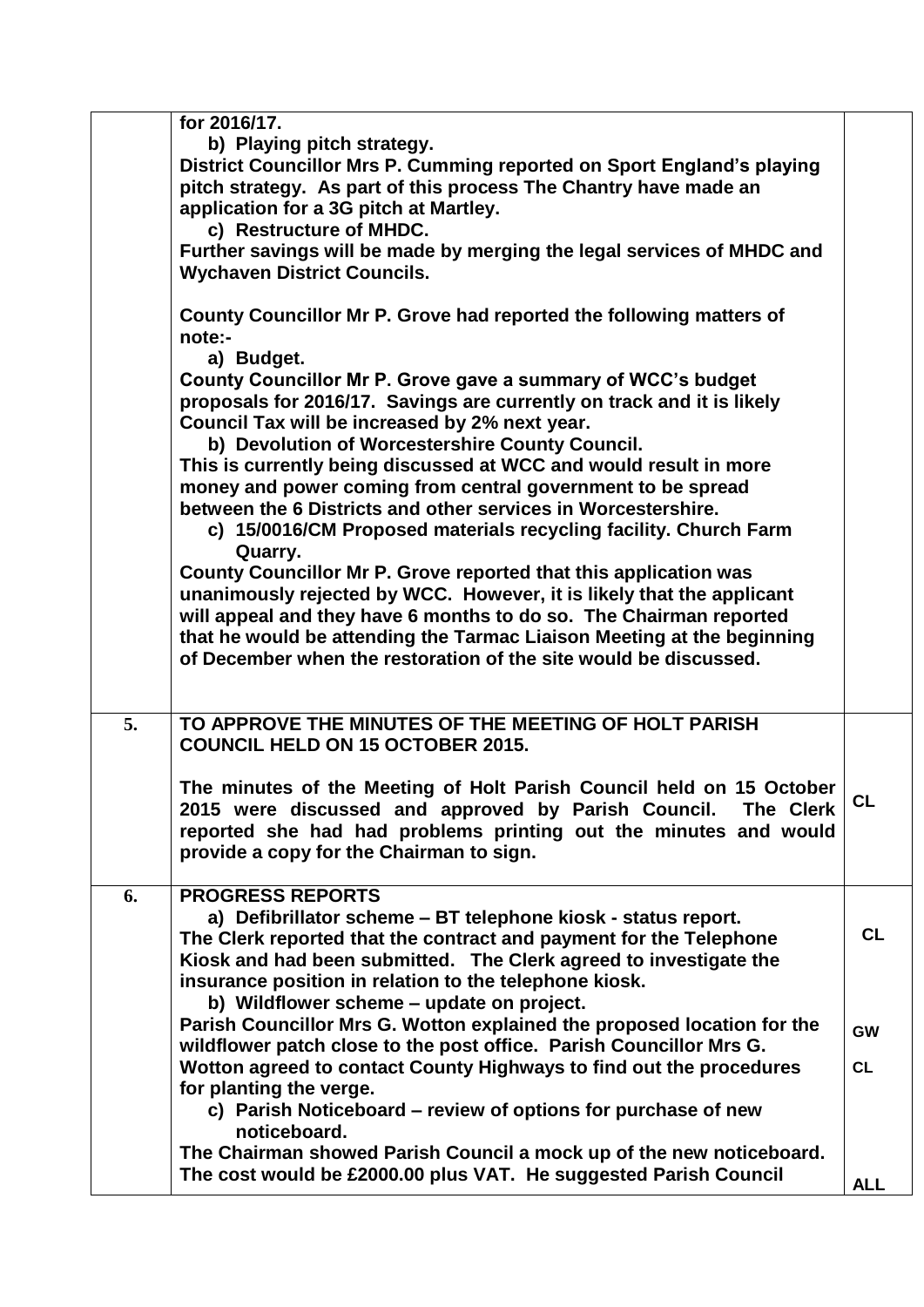|    | for 2016/17.<br>b) Playing pitch strategy.<br>District Councillor Mrs P. Cumming reported on Sport England's playing<br>pitch strategy. As part of this process The Chantry have made an<br>application for a 3G pitch at Martley.<br>c) Restructure of MHDC.<br>Further savings will be made by merging the legal services of MHDC and<br><b>Wychaven District Councils.</b><br>County Councillor Mr P. Grove had reported the following matters of<br>note:-<br>a) Budget.<br>County Councillor Mr P. Grove gave a summary of WCC's budget<br>proposals for 2016/17. Savings are currently on track and it is likely<br>Council Tax will be increased by 2% next year.<br>b) Devolution of Worcestershire County Council.<br>This is currently being discussed at WCC and would result in more<br>money and power coming from central government to be spread<br>between the 6 Districts and other services in Worcestershire.<br>c) 15/0016/CM Proposed materials recycling facility. Church Farm<br>Quarry.<br>County Councillor Mr P. Grove reported that this application was<br>unanimously rejected by WCC. However, it is likely that the applicant<br>will appeal and they have 6 months to do so. The Chairman reported<br>that he would be attending the Tarmac Liaison Meeting at the beginning<br>of December when the restoration of the site would be discussed. |                                     |
|----|----------------------------------------------------------------------------------------------------------------------------------------------------------------------------------------------------------------------------------------------------------------------------------------------------------------------------------------------------------------------------------------------------------------------------------------------------------------------------------------------------------------------------------------------------------------------------------------------------------------------------------------------------------------------------------------------------------------------------------------------------------------------------------------------------------------------------------------------------------------------------------------------------------------------------------------------------------------------------------------------------------------------------------------------------------------------------------------------------------------------------------------------------------------------------------------------------------------------------------------------------------------------------------------------------------------------------------------------------------------------------------|-------------------------------------|
| 5. | TO APPROVE THE MINUTES OF THE MEETING OF HOLT PARISH<br><b>COUNCIL HELD ON 15 OCTOBER 2015.</b><br>The minutes of the Meeting of Holt Parish Council held on 15 October<br>2015 were discussed and approved by Parish Council. The Clerk<br>reported she had had problems printing out the minutes and would<br>provide a copy for the Chairman to sign.                                                                                                                                                                                                                                                                                                                                                                                                                                                                                                                                                                                                                                                                                                                                                                                                                                                                                                                                                                                                                         | <b>CL</b>                           |
| 6. | <b>PROGRESS REPORTS</b><br>a) Defibrillator scheme - BT telephone kiosk - status report.<br>The Clerk reported that the contract and payment for the Telephone<br>Kiosk and had been submitted. The Clerk agreed to investigate the<br>insurance position in relation to the telephone kiosk.<br>b) Wildflower scheme - update on project.<br>Parish Councillor Mrs G. Wotton explained the proposed location for the<br>wildflower patch close to the post office. Parish Councillor Mrs G.<br>Wotton agreed to contact County Highways to find out the procedures<br>for planting the verge.<br>c) Parish Noticeboard – review of options for purchase of new                                                                                                                                                                                                                                                                                                                                                                                                                                                                                                                                                                                                                                                                                                                  | <b>CL</b><br><b>GW</b><br><b>CL</b> |
|    | noticeboard.<br>The Chairman showed Parish Council a mock up of the new noticeboard.<br>The cost would be £2000.00 plus VAT. He suggested Parish Council                                                                                                                                                                                                                                                                                                                                                                                                                                                                                                                                                                                                                                                                                                                                                                                                                                                                                                                                                                                                                                                                                                                                                                                                                         | <b>ALL</b>                          |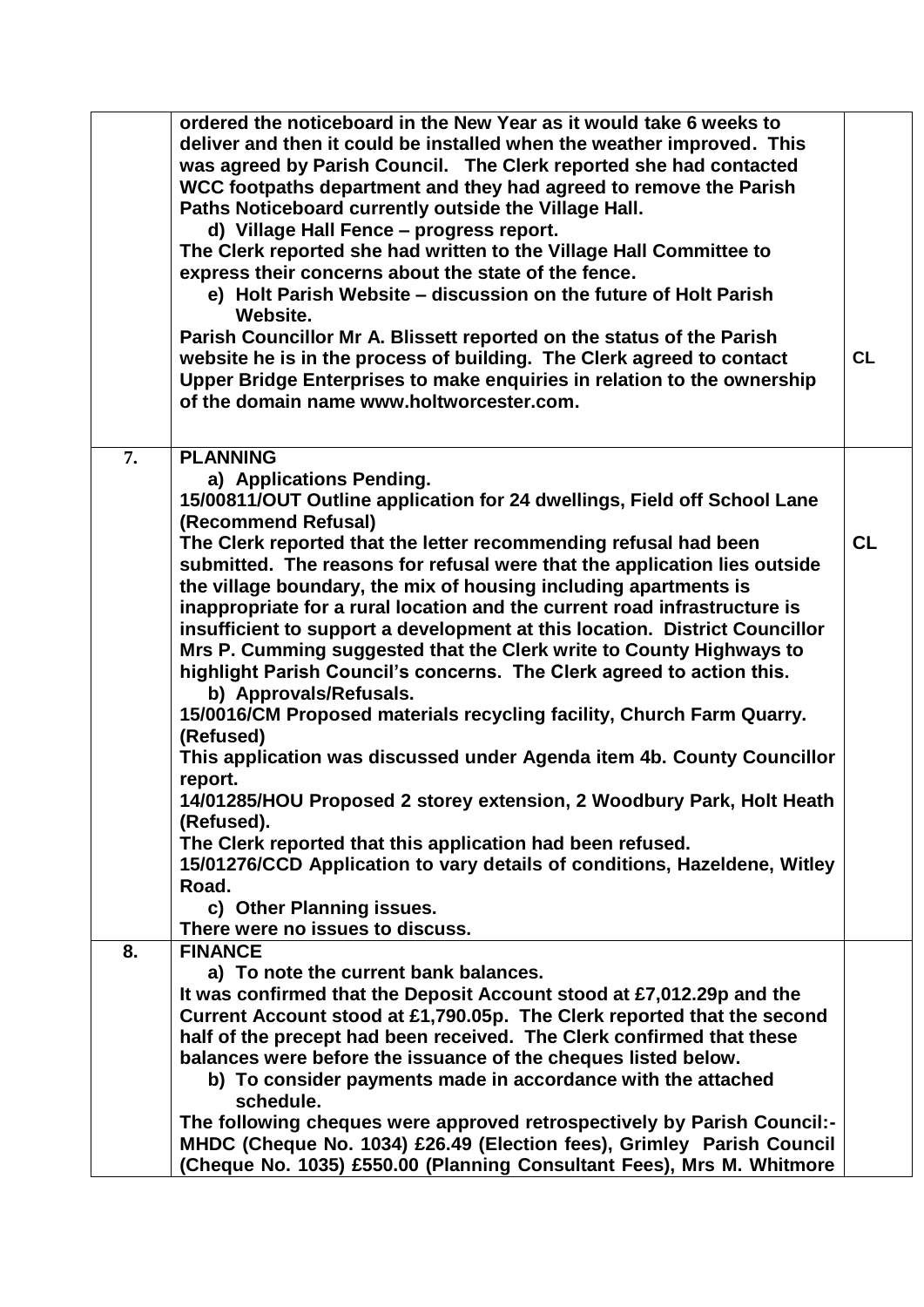|    | ordered the noticeboard in the New Year as it would take 6 weeks to         |    |
|----|-----------------------------------------------------------------------------|----|
|    | deliver and then it could be installed when the weather improved. This      |    |
|    | was agreed by Parish Council. The Clerk reported she had contacted          |    |
|    | WCC footpaths department and they had agreed to remove the Parish           |    |
|    | Paths Noticeboard currently outside the Village Hall.                       |    |
|    | d) Village Hall Fence - progress report.                                    |    |
|    | The Clerk reported she had written to the Village Hall Committee to         |    |
|    | express their concerns about the state of the fence.                        |    |
|    | e) Holt Parish Website – discussion on the future of Holt Parish            |    |
|    | Website.                                                                    |    |
|    | Parish Councillor Mr A. Blissett reported on the status of the Parish       |    |
|    | website he is in the process of building. The Clerk agreed to contact       | CL |
|    | Upper Bridge Enterprises to make enquiries in relation to the ownership     |    |
|    | of the domain name www.holtworcester.com.                                   |    |
|    |                                                                             |    |
|    |                                                                             |    |
| 7. | <b>PLANNING</b><br>a) Applications Pending.                                 |    |
|    | 15/00811/OUT Outline application for 24 dwellings, Field off School Lane    |    |
|    | (Recommend Refusal)                                                         |    |
|    | The Clerk reported that the letter recommending refusal had been            | CL |
|    | submitted. The reasons for refusal were that the application lies outside   |    |
|    | the village boundary, the mix of housing including apartments is            |    |
|    | inappropriate for a rural location and the current road infrastructure is   |    |
|    | insufficient to support a development at this location. District Councillor |    |
|    |                                                                             |    |
|    | Mrs P. Cumming suggested that the Clerk write to County Highways to         |    |
|    | highlight Parish Council's concerns. The Clerk agreed to action this.       |    |
|    | b) Approvals/Refusals.                                                      |    |
|    | 15/0016/CM Proposed materials recycling facility, Church Farm Quarry.       |    |
|    | (Refused)                                                                   |    |
|    | This application was discussed under Agenda item 4b. County Councillor      |    |
|    | report.                                                                     |    |
|    | 14/01285/HOU Proposed 2 storey extension, 2 Woodbury Park, Holt Heath       |    |
|    | (Refused).                                                                  |    |
|    | The Clerk reported that this application had been refused.                  |    |
|    | 15/01276/CCD Application to vary details of conditions, Hazeldene, Witley   |    |
|    | Road.                                                                       |    |
|    | c) Other Planning issues.                                                   |    |
|    | There were no issues to discuss.                                            |    |
| 8. | <b>FINANCE</b>                                                              |    |
|    | a) To note the current bank balances.                                       |    |
|    | It was confirmed that the Deposit Account stood at £7,012.29p and the       |    |
|    | Current Account stood at £1,790.05p. The Clerk reported that the second     |    |
|    | half of the precept had been received. The Clerk confirmed that these       |    |
|    | balances were before the issuance of the cheques listed below.              |    |
|    | b) To consider payments made in accordance with the attached                |    |
|    | schedule.                                                                   |    |
|    | The following cheques were approved retrospectively by Parish Council:-     |    |
|    | MHDC (Cheque No. 1034) £26.49 (Election fees), Grimley Parish Council       |    |
|    | (Cheque No. 1035) £550.00 (Planning Consultant Fees), Mrs M. Whitmore       |    |